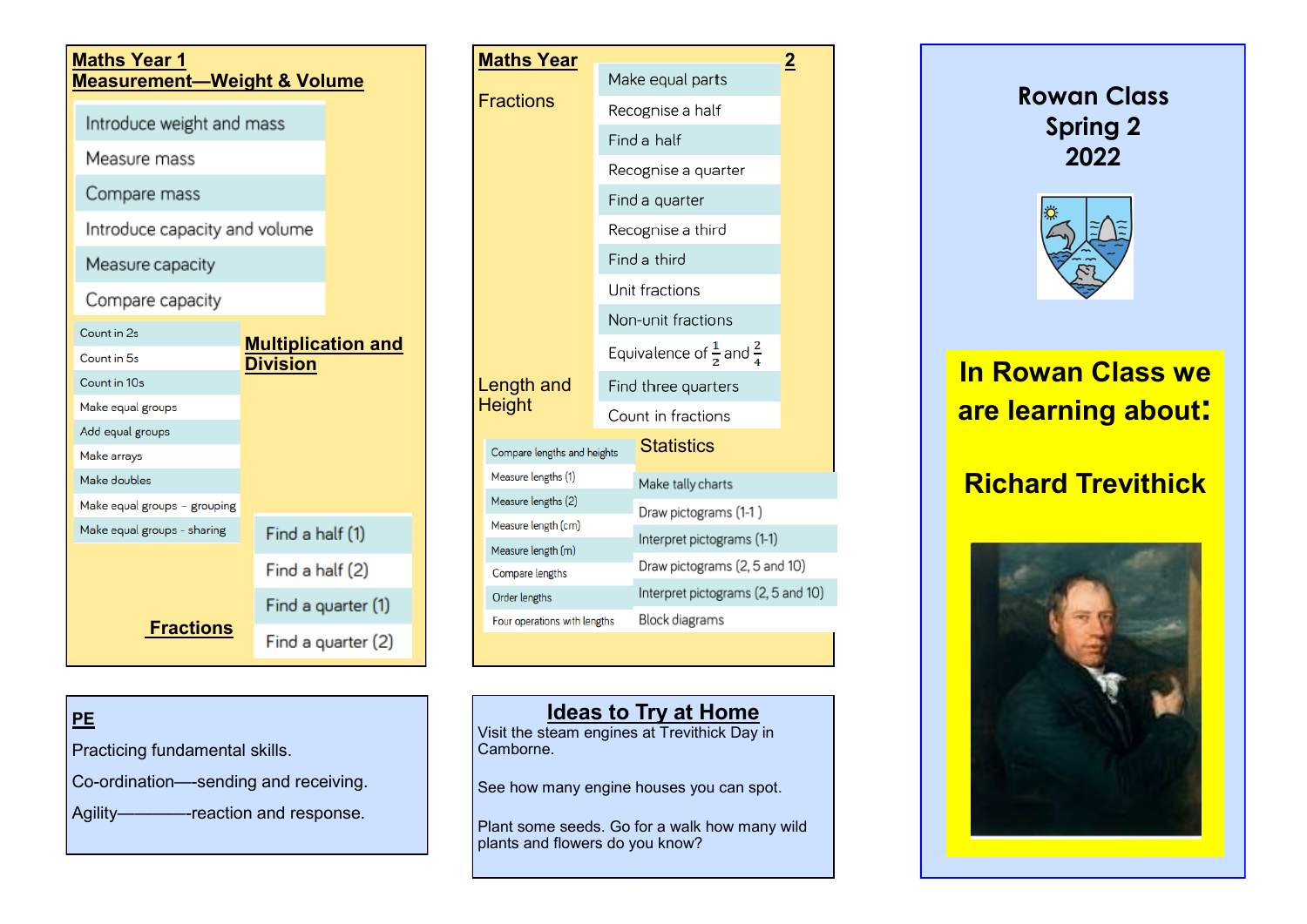| <b>Maths Year 1</b><br><b>Measurement-Weight &amp; Volume</b> |                                              |  |  |  |
|---------------------------------------------------------------|----------------------------------------------|--|--|--|
| Introduce weight and mass                                     |                                              |  |  |  |
| Measure mass                                                  |                                              |  |  |  |
| Compare mass                                                  |                                              |  |  |  |
| Introduce capacity and volume                                 |                                              |  |  |  |
| Measure capacity                                              |                                              |  |  |  |
| Compare capacity                                              |                                              |  |  |  |
| Count in 2s                                                   |                                              |  |  |  |
| Count in 5s                                                   | <b>Multiplication and</b><br><b>Division</b> |  |  |  |
| Count in 10s                                                  |                                              |  |  |  |
| Make equal groups                                             |                                              |  |  |  |
| Add equal groups                                              |                                              |  |  |  |
| Make arrays                                                   |                                              |  |  |  |
| Make doubles                                                  |                                              |  |  |  |
| Make equal groups - grouping                                  |                                              |  |  |  |
| Make equal groups - sharing                                   | Find a half (1)                              |  |  |  |
|                                                               | Find a half (2)                              |  |  |  |
|                                                               | Find a quarter (1)                           |  |  |  |
| <b>Fractions</b>                                              | Find a quarter (2)                           |  |  |  |

| <b>Maths Year</b>            |                |                                                | $\overline{2}$ |  |
|------------------------------|----------------|------------------------------------------------|----------------|--|
|                              |                | Make equal parts                               |                |  |
| <b>Fractions</b>             |                | Recognise a half                               |                |  |
|                              |                | Find a half                                    |                |  |
|                              |                | Recognise a quarter                            |                |  |
|                              |                | Find a quarter                                 |                |  |
|                              |                | Recognise a third                              |                |  |
|                              |                | Find a third                                   |                |  |
|                              | Unit fractions |                                                |                |  |
|                              |                | Non-unit fractions                             |                |  |
|                              |                | Equivalence of $\frac{1}{2}$ and $\frac{2}{4}$ |                |  |
| Length and                   |                | Find three quarters                            |                |  |
| <b>Height</b>                |                | Count in fractions                             |                |  |
| Compare lengths and heights  |                | <b>Statistics</b>                              |                |  |
| Measure lengths (1)          |                | Make tally charts                              |                |  |
| Measure lengths (2)          |                | Draw pictograms (1-1)                          |                |  |
| Measure length (cm)          |                | Interpret pictograms (1-1)                     |                |  |
| Measure length (m)           |                | Draw pictograms (2, 5 and 10)                  |                |  |
| Compare lengths              |                |                                                |                |  |
| Order lengths                |                | Interpret pictograms (2, 5 and 10)             |                |  |
| Four operations with lengths |                | Block diagrams                                 |                |  |
|                              |                |                                                |                |  |

# **PE**

Practicing fundamental skills.

Co-ordination—-sending and receiving.

Agility————-reaction and response.

# **Ideas to Try at Home**

Visit the steam engines at Trevithick Day in Camborne.

See how many engine houses you can spot.

Plant some seeds. Go for a walk how many wild plants and flowers do you know?

**Rowan Class Spring 2 2022**



# **In Rowan Class we are learning about:**

# **Richard Trevithick**